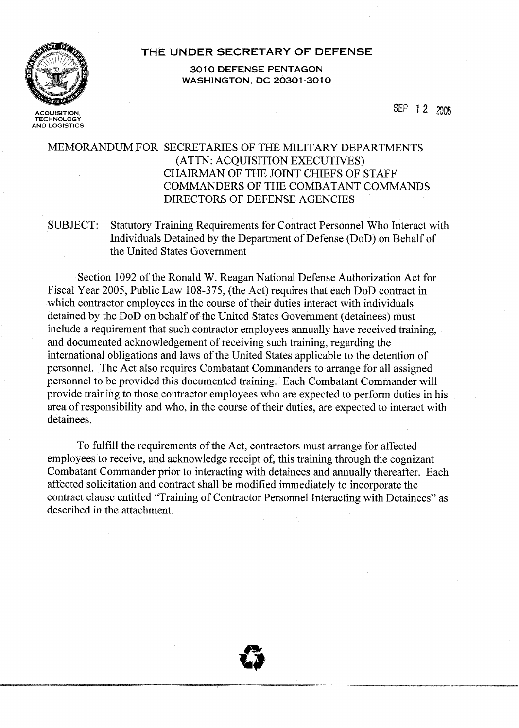

**ACQUISITION, TECHNOLOGY** 

**AND LOGISTICS** 

### **THE UNDER SECRETARY OF DEFENSE**

**301 0 DEFENSE PENTAGON WASHINGTON, DC 20301-3010** 

SEP 12 2005

# MEMORANDUM FOR SECRETARIES OF THE MILITARY DEPARTMENTS (ATTN: ACQUISITION EXECUTIVES) CHAIRMAN OF THE JOINT CHIEFS OF STAFF COMMANDERS OF THE COMBATANT COMMANDS DIRECTORS OF DEFENSE AGENCIES

# SUBJECT: Statutory Training Requirements for Contract Personnel Who Interact with Individuals Detained by the Department of Defense (DoD) on Behalf of the United States Government

Section 1092 of the Ronald W. Reagan National Defense Authorization Act for Fiscal Year 2005, Public Law 108-375, (the Act) requires that each DoD contract in which contractor employees in the course of their duties interact with individuals detained by the DoD on behalf of the United States Government (detainees) must include a requirement that such contractor employees annually have received training, and documented acknowledgement of receiving such training, regarding the international obligations and laws of the United States applicable to the detention of personnel. The Act also requires Combatant Commanders to arrange for all assigned personnel to be provided this documented training. Each Combatant Commander will provide training to those contractor employees who are expected to perform duties in his area of responsibility and who, in the course of their duties, are expected to interact with detainees.

To fulfill the requirements of the Act, contractors must arrange for affected employees to receive, and acknowledge receipt of, this training through the cognizant Combatant Commander prior to interacting with detainees and annually thereafter. Each affected solicitation and contract shall be modified immediately to incorporate the contract clause entitled "Training of Contractor Personnel Interacting with Detainees" as described in the attachment.

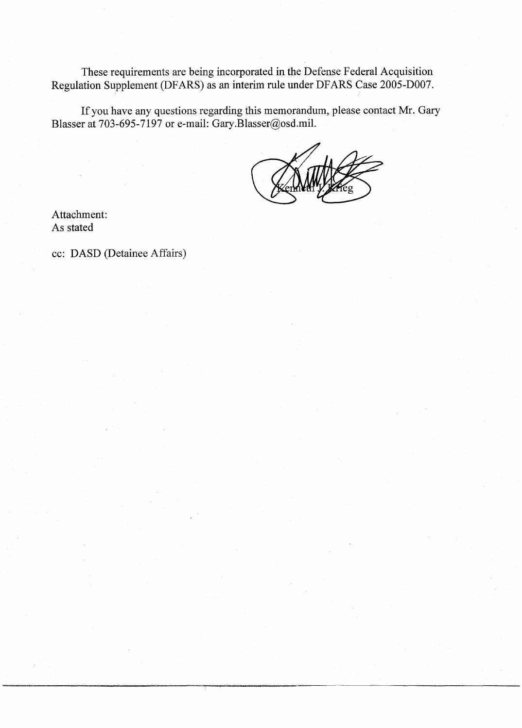These requirements are being incorporated in the Defense Federal Acquisition Regulation Supplement (DFARS) as an interim rule under DFARS Case 2005-D007.

If you have any questions regarding this memorandum, please contact Mr. Gary Blasser at 703-695-7197 or e-mail: Gary.Blasser@osd.mil.

Attachment: As stated

cc: DASD (Detainee Affairs)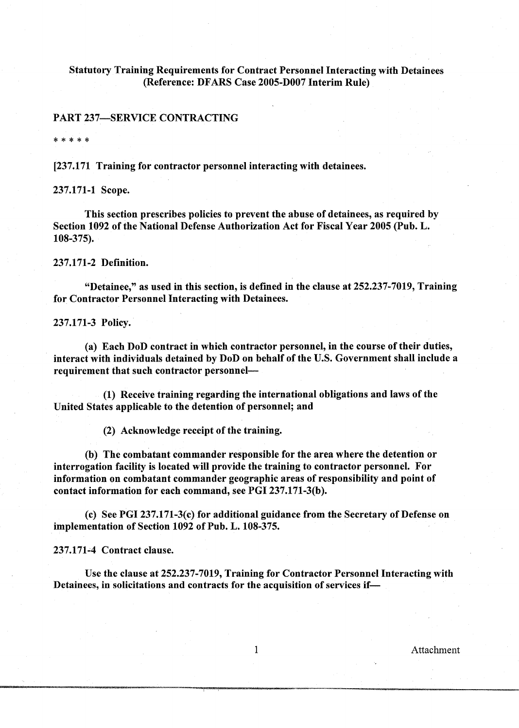#### Statutory Training Requirements for Contract Personnel Interacting with Detainees (Reference: DFARS Case 2005-DO07 Interim Rule)

#### PART 237-SERVICE CONTRACTING

\* \* \* \* \*

[237.171 Training for contractor personnel interacting with detainees.

237.171-1 Scope.

This section prescribes policies to prevent the abuse of detainees, as required by Section 1092 of the National Defense Authorization Act for Fiscal Year 2005 (Pub. L. 108-375).

237.171-2 Definition.

"Detainee," as used in this section, is defined in the clause at 252.237-7019, Training for Contractor Personnel Interacting with Detainees.

237.171-3 Policy.

(a) Each DoD contract in which contractor personnel, in the course of their duties, interact with individuals detained by DoD on behalf of the U.S. Government shall include a requirement that such contractor personnel-

(1) Receive training regarding the international obligations and laws of the United States applicable to the detention of personnel; and

(2) Acknowledge receipt of the training.

(b) The combatant commander responsible for the area where the detention or interrogation facility is located will provide the training to contractor personnel. For information on combatant commander geographic areas of responsibility and point of contact information for each command, see PGI 237.171-3(b).

(c) See PGI 237.171-3(c) for additional guidance from the Secretary of Defense on implementation of Section 1092 of Pub. L. 108-375.

237.171-4 Contract clause.

Use the clause at 252.237-7019, Training for Contractor Personnel Interacting with Detainees, in solicitations and contracts for the acquisition of services if-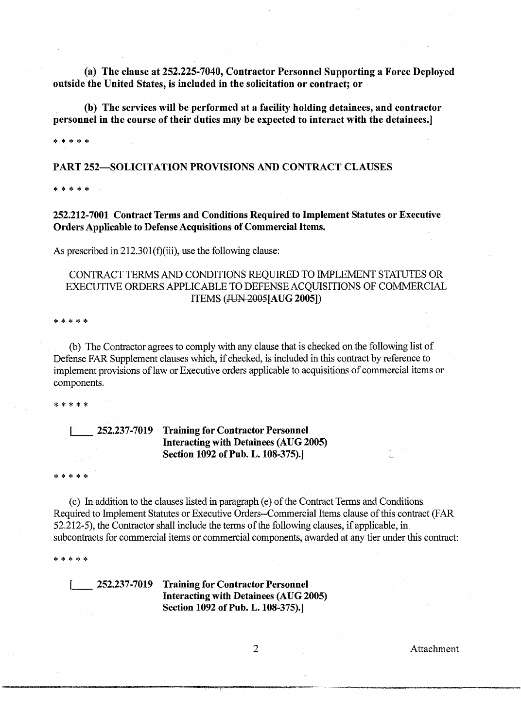(a) The clause at 252.225-7040, Contractor Personnel Supporting a Force Deployed outside the United States, is included in the solicitation or contract; or

(b) The services will be performed at a facility holding detainees, and contractor personnel in the course of their duties may be expected to interact with the detainees.]

\* \* \* \* \*

PART 252-SOLICITATION PROVISIONS AND CONTRACT CLAUSES

\* \* \* \* \*

252.212-7001 Contract Terms and Conditions Required to Implement Statutes or Executive Orders Applicable to Defense Acquisitions of Commercial Items.

As prescribed in 212.301(f)(iii), use the following clause:

CONTRACT TERMS AND CONDITIONS REQUIRED TO IMPLEMENT STATUTES OR EXECUTIVE ORDERS APPLICABLE TO DEFENSE ACQUISITIONS OF COMMERCIAL ITEMS (JUN 2005[AUG 2005])

\* \* \* \* \*

(b) The Contractor agrees to comply with any clause that is checked on the following list of Defense FAR Supplement clauses which, if checked, is included in this contract by reference to implement provisions of law or Executive orders applicable to acquisitions of commercial items or components.

\* \* \* \* \*

### 1 252.237-7019 Training for Contractor Personnel Interacting with Detainees (AUG 2005) Section 1092 of Pub. L. 108-375).]

\* \* \* \*

(c) In addition to the clauses listed in paragraph (e) of the Contract Terms and Conditions Required to Implement Statutes or Executive Orders--Commercial Items clause of this contract (FAR 52.212-5), the Contractor shall include the terms of the following clauses, if applicable, in subcontracts for commercial items or commercial components, awarded at any tier under this contract:

\* \* \* \* \*

1 252.237-7019 Training for Contractor Personnel Interacting with Detainees (AUG 2005) Section 1092 of Pub. L. 108-375).]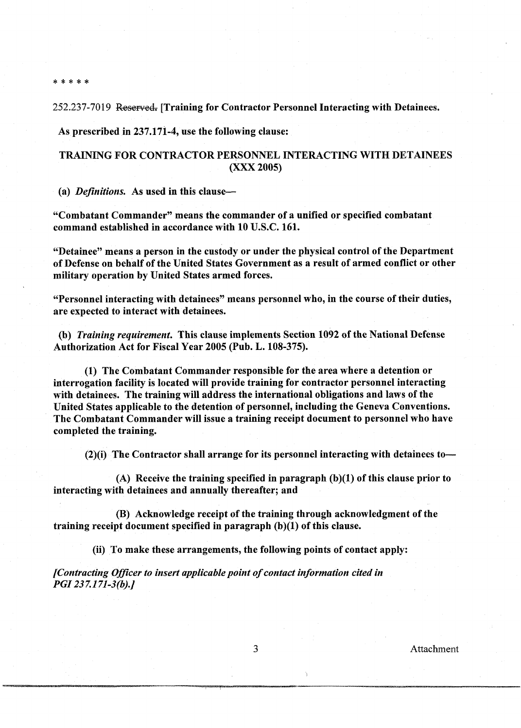\*\*\*\*\*

252.237-7019 Reserved. [Training for Contractor Personnel Interacting with Detainees.

As prescribed in 237.171-4, use the following clause:

## TRAINING FOR CONTRACTOR PERSONNEL INTERACTING WITH DETAINEES (XXX 2005)

(a) *Definitions.* As used in this clause—

"Combatant Commander" means the commander of a unified or specified combatant command established in accordance with 10 U.S.C. 161.

"Detainee" means a person in the custody or under the physical control of the Department of Defense on behalf of the United States Government as a result of armed conflict or other military operation by United States armed forces.

"Personnel interacting with detainees" means personnel who, in the course of their duties, are expected to interact with detainees.

*(b) Training requirement.* This clause implements Section 1092 of the National Defense Authorization Act for Fiscal Year 2005 (Pub. L. 108-375).

(1) The Combatant Commander responsible for the area where a detention or interrogation facility is located will provide training for contractor personnel interacting with detainees. The training will address the international obligations and laws of the United States applicable to the detention of personnel, including the Geneva Conventions. The Combatant Commander will issue a training receipt document to personnel who have completed the training.

 $(2)(i)$  The Contractor shall arrange for its personnel interacting with detainees to-

(A) Receive the training specified in paragraph  $(b)(1)$  of this clause prior to interacting with detainees and annually thereafter; and

(B) Acknowledge receipt of the training through acknowledgment of the training receipt document specified in paragraph **(b)(l)** of this clause.

(ii) To make these arrangements, the following points of contact apply:

*[Contracting Officer to insert applicable point of contact information cited in PGI 23 7.1 71-3(b).j*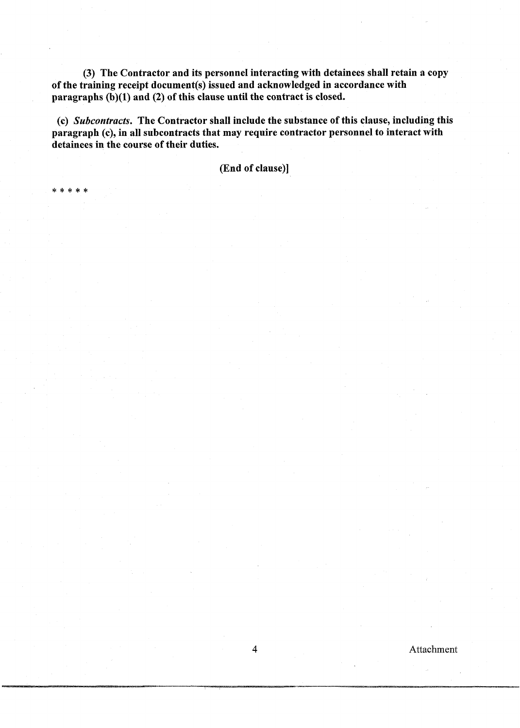(3) The Contractor and its personnel interacting with detainees shall retain a copy of the training receipt document(s) issued and acknowledged in accordance with paragraphs  $(b)(1)$  and  $(2)$  of this clause until the contract is closed.

(c) Subcontracts. The Contractor shall include the substance of this clause, including this paragraph (c), in all subcontracts that may require contractor personnel to interact with detainees in the course of their duties.

(End of clause)]

-sk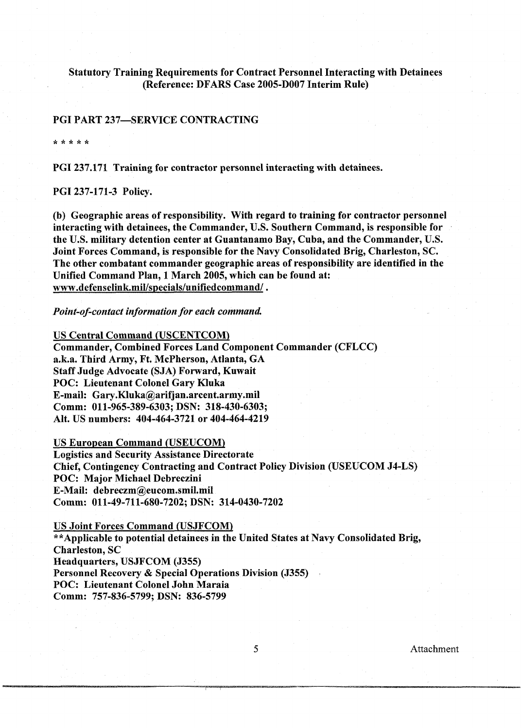### Statutory Training Requirements for Contract Personnel Interacting with Detainees (Reference: DFARS Case 2005-DO07 Interim Rule)

#### PGI PART 237-SERVICE CONTRACTING

\* \* \* \* \*

PGI 237.171 Training for contractor personnel interacting with detainees.

#### PGI 237-171-3 Policy.

(b) Geographic areas of responsibility. With regard to training for contractor personnel interacting with detainees, the Commander, U.S. Southern Command, is responsible for the U.S. military detention center at Guantanamo Bay, Cuba, and the Commander, U.S. Joint Forces Command, is responsible for the Navy Consolidated Brig, Charleston, SC. The other combatant commander geographic areas of responsibility are identified in the Unified Command Plan, 1 March 2005, which can be found at: **www.defenselink.miVspecials/unifiedcommand/** .

*Point-of-contact in formation for each command.* 

US Central Command (USCENTCOM) Commander, Combined Forces Land Component Commander (CFLCC) a.k.a. Third Army, Ft. McPherson, Atlanta, GA Staff Judge Advocate (SJA) Forward, Kuwait POC: Lieutenant Colonel Gary Kluka E-mail: Gary.Kluka@arifjan.arcent.army.mil Comm: 011-965-389-6303; DSN: 318-430-6303; Alt. US numbers: 404-464-3721 or 404-464-4219

US European Command (USEUCOM]

Logistics and Security Assistance Directorate Chief, Contingency Contracting and Contract Policy Division (USEUCOM J4-LS) POC: Major Michael Debreczini E-Mail: debreczm@eucom.smil.mil Comm: 011-49-711-680-7202; DSN: 314-0430-7202

US Joint Forces Command (USJFCOM] \*\*Applicable to potential detainees in the United States at Navy Consolidated Brig, Charleston, SC Headquarters, USJFCOM (5355) Personnel Recovery & Special Operations Division (J355) POC: Lieutenant Colonel John Maraia Comm: 757-836-5799; DSN: 836-5799